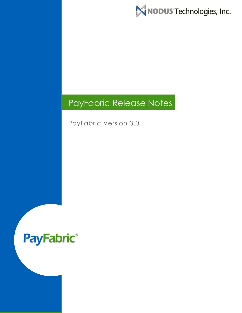MNODUS Technologies, Inc.

# PayFabric Release Notes

PayFabric Version 3.0

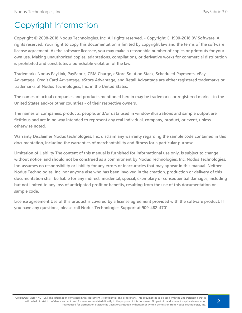# Copyright Information

**Copyright © 2008-2018 Nodus Technologies, Inc. All rights reserved. - Copyright © 1990-2018 BV Software. All rights reserved. Your right to copy this documentation is limited by copyright law and the terms of the software license agreement. As the software licensee, you may make a reasonable number of copies or printouts for your own use. Making unauthorized copies, adaptations, compilations, or derivative works for commercial distribution is prohibited and constitutes a punishable violation of the law.**

**Trademarks Nodus PayLink, PayFabric, CRM Charge, eStore Solution Stack, Scheduled Payments, ePay Advantage, Credit Card Advantage, eStore Advantage, and Retail Advantage are either registered trademarks or trademarks of Nodus Technologies, Inc. in the United States.**

**The names of actual companies and products mentioned herein may be trademarks or registered marks - in the United States and/or other countries - of their respective owners.**

**The names of companies, products, people, and/or data used in window illustrations and sample output are fictitious and are in no way intended to represent any real individual, company, product, or event, unless otherwise noted.**

**Warranty Disclaimer Nodus technologies, Inc. disclaim any warranty regarding the sample code contained in this documentation, including the warranties of merchantability and fitness for a particular purpose.**

**Limitation of Liability The content of this manual is furnished for informational use only, is subject to change without notice, and should not be construed as a commitment by Nodus Technologies, Inc. Nodus Technologies, Inc. assumes no responsibility or liability for any errors or inaccuracies that may appear in this manual. Neither Nodus Technologies, Inc. nor anyone else who has been involved in the creation, production or delivery of this documentation shall be liable for any indirect, incidental, special, exemplary or consequential damages, including but not limited to any loss of anticipated profit or benefits, resulting from the use of this documentation or sample code.**

**License agreement Use of this product is covered by a license agreement provided with the software product. If you have any questions, please call Nodus Technologies Support at 909-482-4701**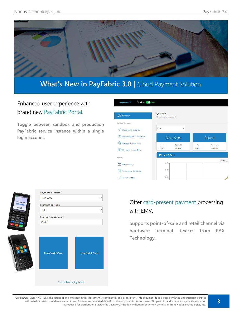

## **What's New in PayFabric 3.0 | Cloud Payment Solution**

### Enhanced user experience with brand new PayFabric Portal.

**Toggle between sandbox and production PayFabric service instance within a single login account.**

| Sandbox Live<br>PayFabric ▼                                  |                                    |                         |                          |                         |                 |
|--------------------------------------------------------------|------------------------------------|-------------------------|--------------------------|-------------------------|-----------------|
| and Overview                                                 | Overview<br>Overview of my account |                         |                          |                         |                 |
| <b>Virtual Terminal</b><br>Process a Transaction             | <b>USD</b>                         | $\checkmark$            |                          |                         |                 |
| ్య<br><b>Process Batch Transactions</b>                      |                                    | <b>Gross Sales</b>      |                          | Refund                  |                 |
| <b>WA</b> Manage Transactions<br>鬧<br>Pay Later Transactions | $\Omega$<br><b>COUNT</b>           | \$0.00<br><b>AMOUNT</b> | $\Omega$<br><b>COUNT</b> | \$0.00<br><b>AMOUNT</b> |                 |
| <b>Reports</b>                                               | □ Last 7 Days                      |                         |                          |                         |                 |
| <b>Daily Activity</b><br>$\mathcal{A}$                       | \$2.00                             |                         |                          |                         | <b>Gross Sa</b> |
| <b>Transaction Summary</b><br>Ξi                             | \$1.50                             |                         |                          |                         |                 |
| <b>Service Usages</b><br>ΠH                                  | \$1.00                             |                         |                          |                         |                 |

|                  | <b>Payment Terminal</b>   |                       |  |  |
|------------------|---------------------------|-----------------------|--|--|
| Please Enter PIN | <b>PAX S300</b>           |                       |  |  |
| $* * * *$        | <b>Transaction Type</b>   |                       |  |  |
| 233<br>53pp      | Sale                      |                       |  |  |
|                  | <b>Transaction Amount</b> |                       |  |  |
|                  | 20.00                     |                       |  |  |
|                  |                           |                       |  |  |
|                  |                           |                       |  |  |
|                  | <b>Use Credit Card</b>    | <b>Use Debit Card</b> |  |  |

**Switch Processing Mode** 

### Offer card-present payment processing with EMV.

**Supports point-of-sale and retail channel via hardware terminal devices from PAX Technology.**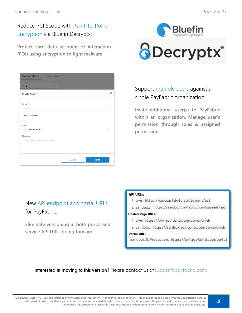## Reduce PCI Scope with Point-to-Point Encryption via Bluefin Decryptx.

**Protect card data at point of interaction (POI) using encryption to fight malware.**

| Manage Users                     | <b>User Roles</b> |        |        |              |
|----------------------------------|-------------------|--------|--------|--------------|
| $A - Z$                          | $\checkmark$      |        |        |              |
| <b>Invite User</b>               |                   |        |        | ×            |
| Email *                          |                   |        |        |              |
| Email                            |                   |        |        | X            |
| + Additional User                |                   |        |        |              |
| Role                             |                   |        |        |              |
| ---- Select a role ----          |                   |        |        | $\checkmark$ |
| Message                          |                   |        |        |              |
| Message in the invitation email. |                   |        |        |              |
|                                  |                   |        |        |              |
|                                  |                   | Cancel | Invite |              |



## Support multiple users against a single PayFabric organization.

**Invite additional user(s) to PayFabric within an organization. Manage user's permission through roles & assigned permission.** 

### New API endpoint and portal URLs for PayFabric.

**Eliminate versioning in both portal and service API URLs going forward.** 

#### **API URLs:**

- 1. Live: https://www.payfabric.com/payment/api
- 2. Sandbox: https://sandbox.payfabric.com/payment/api

#### **Hosted Page URLs:**

- 1. Live: https://www.payfabric.com/payment/web
- 2. Sandbox: https://sandbox.payfabric.com/payment/web

#### **Portal URL:**

Sandbox & Production: https://www.payfabric.com/portal

#### **Interested in moving to this version?** Please contact us at [support@payfabric.com.](mailto:support@payfabric.com)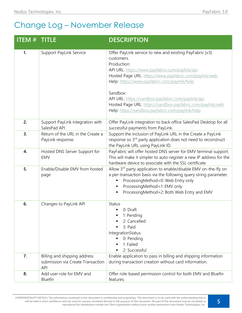## Change Log – November Release

| <b>ITEM#</b> | <b>TITLE</b>                                                                    | <b>DESCRIPTION</b>                                                                                                                                                                                                                                                                                                                                                                                                                    |
|--------------|---------------------------------------------------------------------------------|---------------------------------------------------------------------------------------------------------------------------------------------------------------------------------------------------------------------------------------------------------------------------------------------------------------------------------------------------------------------------------------------------------------------------------------|
| $\mathbf{1}$ | <b>Support PayLink Service</b>                                                  | Offer PayLink service to new and existing PayFabric [v3]<br>customers.<br>Production:<br>API URL: https://www.payfabric.com/paylink/api<br>Hosted Page URL: https://www.payfabric.com/paylink/web<br>Help: https://www.payfabric.com/paylink/help<br>Sandbox:<br>API URL: https://sandbox.payfabric.com/paylink/api<br>Hosted Page URL: https://sandbox.payfabric.com/paylink/web<br>Help: https://sandbox.payfabric.com/paylink/help |
| 2.           | Support PayLink integration with<br>SalesPad API                                | Offer PayLink integration to back office SalesPad Desktop for all<br>successful payments from PayLink.                                                                                                                                                                                                                                                                                                                                |
| 3.           | Return of the URL in the Create a<br>PayLink response.                          | Support the inclusion of PayLink URL in the Create a PayLink<br>response so 3 <sup>rd</sup> party application does not need to reconstruct<br>the PayLink URL using PayLink ID.                                                                                                                                                                                                                                                       |
| 4.           | Hosted DNS Server Support for<br>EMV                                            | PayFabric will offer hosted DNS server for EMV terminal support.<br>This will make it simpler to auto-register a new IP address for the<br>hardware device to associate with the SSL certificate.                                                                                                                                                                                                                                     |
| 5.           | Enable/Disable EMV from hosted<br>page                                          | Allow 3rd party application to enable/disable EMV on-the-fly on<br>a per-transaction basis via the following query string parameter.<br>ProcessingMethod=0: Web Entry only<br>ProcessingMethod=1: EMV only<br>п<br>ProcessingMethod=2: Both Web Entry and EMV<br>Ξ                                                                                                                                                                    |
| 6.           | Changes to PayLink API                                                          | Status<br>0: Draft<br>٠<br>1: Pending<br>2: Cancelled<br>3: Paid<br>$\blacksquare$<br>IntegrationStatus<br>0: Pending<br>п<br>1: Failed<br>п<br>2: Successful<br>٠                                                                                                                                                                                                                                                                    |
| 7.           | Billing and shipping address<br>submission via Create Transaction<br><b>API</b> | Enable application to pass in billing and shipping information<br>during transaction creation without card information.                                                                                                                                                                                                                                                                                                               |
| 8.           | Add user role for EMV and<br><b>Bluefin</b>                                     | Offer role-based permission control for both EMV and Bluefin<br>features.                                                                                                                                                                                                                                                                                                                                                             |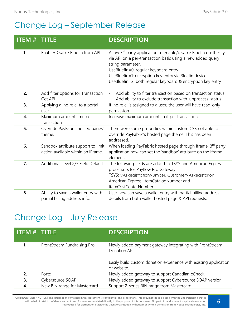# Change Log – September Release

| <b>ITEM # TITLE</b> |                                                                          | <b>DESCRIPTION</b>                                                                                                                                                                                                                                                                                                             |
|---------------------|--------------------------------------------------------------------------|--------------------------------------------------------------------------------------------------------------------------------------------------------------------------------------------------------------------------------------------------------------------------------------------------------------------------------|
| 1.                  | Enable/Disable Bluefin from API                                          | Allow 3 <sup>rd</sup> party application to enable/disable Bluefin on-the-fly<br>via API on a per-transaction basis using a new added query<br>string parameter.<br>UseBluefin=0: regular keyboard entry<br>UseBluefin=1: encryption key entry via Bluefin device<br>UseBluefin=2: both regular keyboard & encryption key entry |
| 2.                  | Add filter options for Transaction<br>Get API                            | Add ability to filter transaction based on transaction status<br>Add ability to exclude transaction with 'unprocess' status                                                                                                                                                                                                    |
| 3.                  | Applying a 'no role' to a portal<br>user                                 | If 'no role' is assigned to a user, the user will have read-only<br>permission.                                                                                                                                                                                                                                                |
| 4.                  | Maximum amount limit per<br>transaction                                  | Increase maximum amount limit per transaction.                                                                                                                                                                                                                                                                                 |
| 5.                  | Override PayFabric hosted pages'<br>theme.                               | There were some properties within custom CSS not able to<br>override PayFabric's hosted page theme. This has been<br>addressed.                                                                                                                                                                                                |
| 6.                  | Sandbox attribute support to limit<br>action available within an iFrame. | When loading PayFabric hosted page through Iframe, 3rd party<br>application now can set the 'sandbox' attribute on the Iframe<br>element.                                                                                                                                                                                      |
| 7.                  | Additional Level 2/3 Field Default                                       | The following fields are added to TSYS and American Express<br>processors for Payflow Pro Gateway:<br>TSYS: VATRegistrationNumber, CustomerVATRegistarion<br>American Express: ItemCatalogNumber and<br>ItemCostCenterNumber                                                                                                   |
| 8.                  | Ability to save a wallet entry with<br>partial billing address info.     | User now can save a wallet entry with partial billing address<br>details from both wallet hosted page & API requests.                                                                                                                                                                                                          |

## Change Log – July Release

| $\Pi$ item $\#$ fitle |                              | <b>DESCRIPTION</b>                                                               |
|-----------------------|------------------------------|----------------------------------------------------------------------------------|
|                       | FrontStream Fundraising Pro  | Newly added payment gateway integrating with FrontStream<br>Donation API.        |
|                       |                              | Easily build custom donation experience with existing application<br>or website. |
| 2.                    | Forte                        | Newly added gateway to support Canadian eCheck.                                  |
| 3.                    | Cybersource SOAP             | Newly added gateway to support Cybersource SOAP version.                         |
| 4.                    | New BIN range for Mastercard | Support 2-series BIN range from Mastercard.                                      |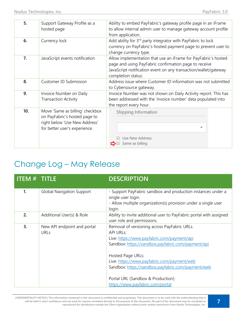| 5.  | Support Gateway Profile as a<br>hosted page                                                                                        | Ability to embed PayFabric's gateway profile page in an iFrame<br>to allow internal admin user to manage gateway account profile<br>from application.                                                            |
|-----|------------------------------------------------------------------------------------------------------------------------------------|------------------------------------------------------------------------------------------------------------------------------------------------------------------------------------------------------------------|
| 6.  | Currency lock                                                                                                                      | Add ability for 3 <sup>rd</sup> party integrator with PayFabric to lock<br>currency on PayFabric's hosted payment page to prevent user to<br>change currency type.                                               |
| 7.  | JavaScript events notification                                                                                                     | Allow implementation that use an iFrame for PayFabric's hosted<br>page and using PayFabric confirmation page to receive<br>JavaScript notification event on any transaction/wallet/gateway<br>completion status. |
| 8.  | <b>Customer ID Submission</b>                                                                                                      | Address issue where Customer ID information was not submitted<br>to Cybersource gateway.                                                                                                                         |
| 9.  | Invoice Number on Daily<br><b>Transaction Activity</b>                                                                             | Invoice Number was not shown on Daily Activity report. This has<br>been addressed with the 'invoice number' data populated into<br>the report every hour.                                                        |
| 10. | Move 'Same as billing' checkbox<br>on PayFabric's hosted page to<br>right below 'Use New Address'<br>for better user's experience. | Shipping Information<br>٠<br>Use New Address<br>Same as billing                                                                                                                                                  |

## Change Log – May Release

| <b>ITEM # TITLE</b> |                                            | <b>DESCRIPTION</b>                                                                                                                                                                               |
|---------------------|--------------------------------------------|--------------------------------------------------------------------------------------------------------------------------------------------------------------------------------------------------|
| 1.                  | <b>Global Navigation Support</b>           | - Support PayFabric sandbox and production instances under a<br>single user login.<br>- Allow multiple organization(s) provision under a single user<br>login.                                   |
| 2.                  | Additional User(s) & Role                  | Ability to invite additional user to PayFabric portal with assigned<br>user role and permissions.                                                                                                |
| 3.                  | New API endpoint and portal<br><b>URLs</b> | Removal of versioning across PayFabric URLs.<br><b>API URLS:</b><br>Live: https://www.payfabric.com/payment/api<br>Sandbox: https://sandbox.payfabric.com/payment/api                            |
|                     |                                            | Hosted Page URLs:<br>Live: https://www.payfabric.com/payment/web<br>Sandbox: https://sandbox.payfabric.com/payment/web<br>Portal URL (Sandbox & Production):<br>https://www.payfabric.com/portal |